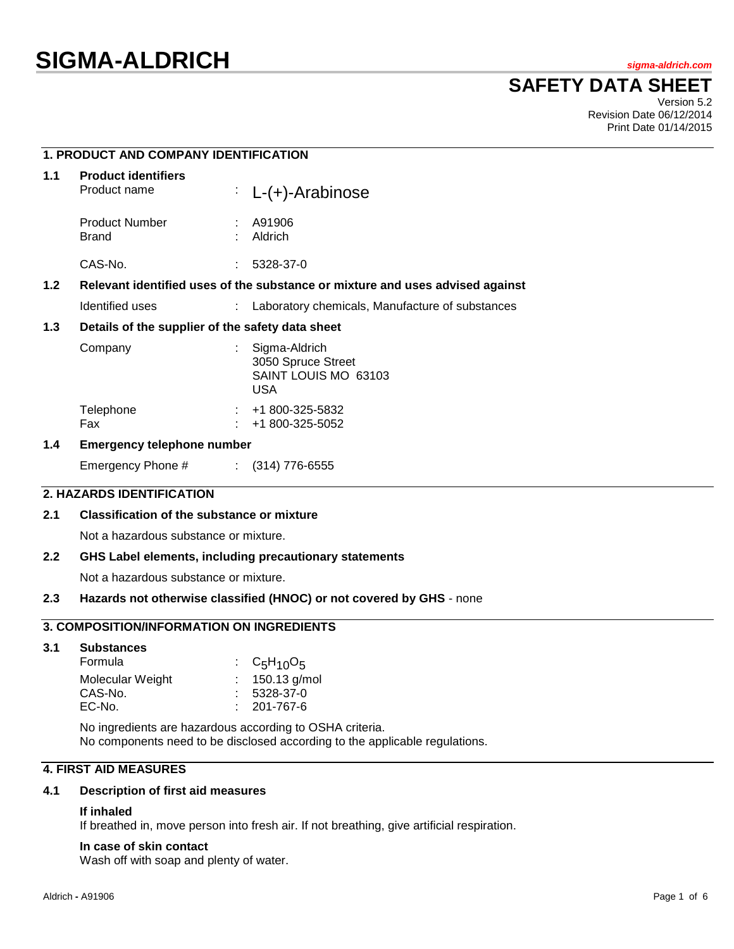**1. PRODUCT AND COMPANY IDENTIFICATION**

# **SAFETY DATA SHEET**

Version 5.2 Revision Date 06/12/2014 Print Date 01/14/2015

| <b>Product identifiers</b><br>Product name                                                        |                                                  | $\therefore$ L-(+)-Arabinose                                              |  |
|---------------------------------------------------------------------------------------------------|--------------------------------------------------|---------------------------------------------------------------------------|--|
| <b>Product Number</b><br>Brand                                                                    |                                                  | A91906<br>Aldrich                                                         |  |
| CAS-No.                                                                                           |                                                  | 5328-37-0                                                                 |  |
| 1.2 <sub>2</sub><br>Relevant identified uses of the substance or mixture and uses advised against |                                                  |                                                                           |  |
| Identified uses                                                                                   |                                                  | : Laboratory chemicals, Manufacture of substances                         |  |
|                                                                                                   | Details of the supplier of the safety data sheet |                                                                           |  |
| Company                                                                                           |                                                  | Sigma-Aldrich<br>3050 Spruce Street<br>SAINT LOUIS MO 63103<br><b>USA</b> |  |
| Telephone<br>Fax                                                                                  |                                                  | +1 800-325-5832<br>+1 800-325-5052                                        |  |
|                                                                                                   |                                                  |                                                                           |  |

## **1.4 Emergency telephone number**

Emergency Phone # : (314) 776-6555

## **2. HAZARDS IDENTIFICATION**

## **2.1 Classification of the substance or mixture**

Not a hazardous substance or mixture.

## **2.2 GHS Label elements, including precautionary statements**

Not a hazardous substance or mixture.

#### **2.3 Hazards not otherwise classified (HNOC) or not covered by GHS** - none

## **3. COMPOSITION/INFORMATION ON INGREDIENTS**

**3.1 Substances**

| Formula          | : $C_5H_{10}O_5$  |
|------------------|-------------------|
| Molecular Weight | : $150.13$ g/mol  |
| CAS-No.          | $: 5328-37-0$     |
| EC-No.           | $: 201 - 767 - 6$ |
|                  |                   |

No ingredients are hazardous according to OSHA criteria. No components need to be disclosed according to the applicable regulations.

## **4. FIRST AID MEASURES**

#### **4.1 Description of first aid measures**

#### **If inhaled**

If breathed in, move person into fresh air. If not breathing, give artificial respiration.

#### **In case of skin contact**

Wash off with soap and plenty of water.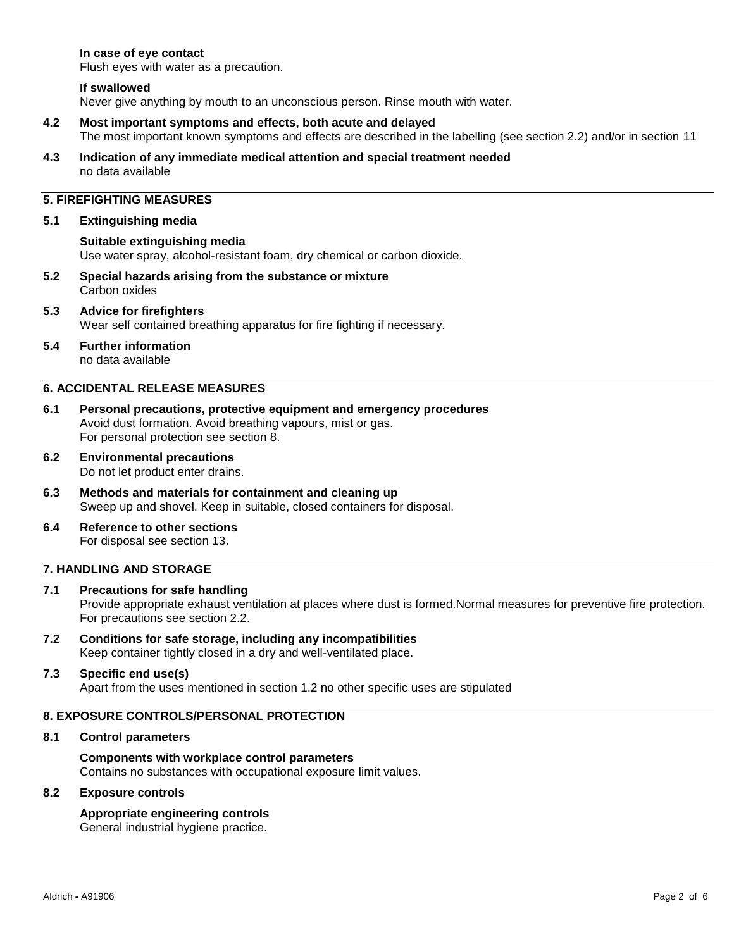## **In case of eye contact**

Flush eyes with water as a precaution.

#### **If swallowed**

Never give anything by mouth to an unconscious person. Rinse mouth with water.

- **4.2 Most important symptoms and effects, both acute and delayed** The most important known symptoms and effects are described in the labelling (see section 2.2) and/or in section 11
- **4.3 Indication of any immediate medical attention and special treatment needed** no data available

# **5. FIREFIGHTING MEASURES**

#### **5.1 Extinguishing media**

**Suitable extinguishing media** Use water spray, alcohol-resistant foam, dry chemical or carbon dioxide.

**5.2 Special hazards arising from the substance or mixture** Carbon oxides

#### **5.3 Advice for firefighters** Wear self contained breathing apparatus for fire fighting if necessary.

## **5.4 Further information**

no data available

## **6. ACCIDENTAL RELEASE MEASURES**

- **6.1 Personal precautions, protective equipment and emergency procedures** Avoid dust formation. Avoid breathing vapours, mist or gas. For personal protection see section 8.
- **6.2 Environmental precautions** Do not let product enter drains.
- **6.3 Methods and materials for containment and cleaning up** Sweep up and shovel. Keep in suitable, closed containers for disposal.
- **6.4 Reference to other sections** For disposal see section 13.

## **7. HANDLING AND STORAGE**

# **7.1 Precautions for safe handling**

Provide appropriate exhaust ventilation at places where dust is formed.Normal measures for preventive fire protection. For precautions see section 2.2.

**7.2 Conditions for safe storage, including any incompatibilities** Keep container tightly closed in a dry and well-ventilated place.

## **7.3 Specific end use(s)**

Apart from the uses mentioned in section 1.2 no other specific uses are stipulated

## **8. EXPOSURE CONTROLS/PERSONAL PROTECTION**

#### **8.1 Control parameters**

**Components with workplace control parameters** Contains no substances with occupational exposure limit values.

#### **8.2 Exposure controls**

## **Appropriate engineering controls**

General industrial hygiene practice.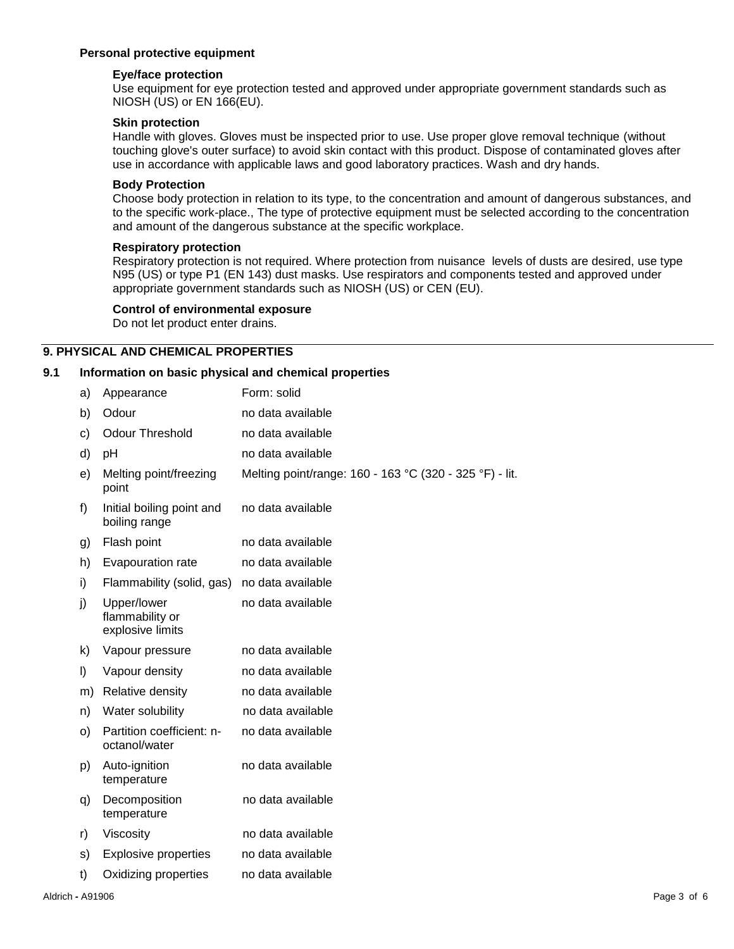## **Personal protective equipment**

## **Eye/face protection**

Use equipment for eye protection tested and approved under appropriate government standards such as NIOSH (US) or EN 166(EU).

## **Skin protection**

Handle with gloves. Gloves must be inspected prior to use. Use proper glove removal technique (without touching glove's outer surface) to avoid skin contact with this product. Dispose of contaminated gloves after use in accordance with applicable laws and good laboratory practices. Wash and dry hands.

#### **Body Protection**

Choose body protection in relation to its type, to the concentration and amount of dangerous substances, and to the specific work-place., The type of protective equipment must be selected according to the concentration and amount of the dangerous substance at the specific workplace.

#### **Respiratory protection**

Respiratory protection is not required. Where protection from nuisance levels of dusts are desired, use type N95 (US) or type P1 (EN 143) dust masks. Use respirators and components tested and approved under appropriate government standards such as NIOSH (US) or CEN (EU).

#### **Control of environmental exposure**

Do not let product enter drains.

## **9. PHYSICAL AND CHEMICAL PROPERTIES**

#### **9.1 Information on basic physical and chemical properties**

| a) | Appearance                                         | Form: solid                                             |
|----|----------------------------------------------------|---------------------------------------------------------|
| b) | Odour                                              | no data available                                       |
| c) | <b>Odour Threshold</b>                             | no data available                                       |
| d) | рH                                                 | no data available                                       |
| e) | Melting point/freezing<br>point                    | Melting point/range: 160 - 163 °C (320 - 325 °F) - lit. |
| f) | Initial boiling point and<br>boiling range         | no data available                                       |
| g) | Flash point                                        | no data available                                       |
| h) | Evapouration rate                                  | no data available                                       |
| i) | Flammability (solid, gas)                          | no data available                                       |
| j) | Upper/lower<br>flammability or<br>explosive limits | no data available                                       |
| k) | Vapour pressure                                    | no data available                                       |
| I) | Vapour density                                     | no data available                                       |
| m) | Relative density                                   | no data available                                       |
| n) | Water solubility                                   | no data available                                       |
| O) | Partition coefficient: n-<br>octanol/water         | no data available                                       |
| p) | Auto-ignition<br>temperature                       | no data available                                       |
| q) | Decomposition<br>temperature                       | no data available                                       |
| r) | Viscosity                                          | no data available                                       |
| s) | <b>Explosive properties</b>                        | no data available                                       |
| t) | Oxidizing properties                               | no data available                                       |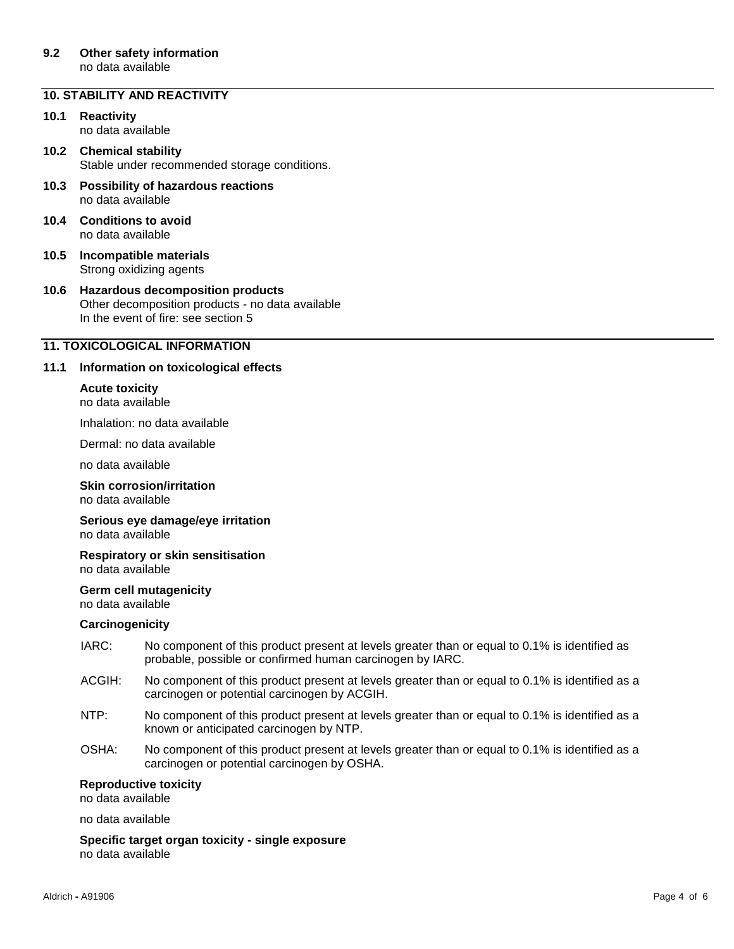#### **9.2 Other safety information** no data available

## **10. STABILITY AND REACTIVITY**

**10.1 Reactivity** no data available

**10.2 Chemical stability** Stable under recommended storage conditions.

- **10.3 Possibility of hazardous reactions** no data available
- **10.4 Conditions to avoid** no data available
- **10.5 Incompatible materials** Strong oxidizing agents
- **10.6 Hazardous decomposition products** Other decomposition products - no data available In the event of fire: see section 5

## **11. TOXICOLOGICAL INFORMATION**

## **11.1 Information on toxicological effects**

#### **Acute toxicity** no data available

Inhalation: no data available

Dermal: no data available

no data available

**Skin corrosion/irritation** no data available

#### **Serious eye damage/eye irritation** no data available

**Respiratory or skin sensitisation** no data available

#### **Germ cell mutagenicity** no data available

#### **Carcinogenicity**

- IARC: No component of this product present at levels greater than or equal to 0.1% is identified as probable, possible or confirmed human carcinogen by IARC.
- ACGIH: No component of this product present at levels greater than or equal to 0.1% is identified as a carcinogen or potential carcinogen by ACGIH.
- NTP: No component of this product present at levels greater than or equal to 0.1% is identified as a known or anticipated carcinogen by NTP.
- OSHA: No component of this product present at levels greater than or equal to 0.1% is identified as a carcinogen or potential carcinogen by OSHA.

#### **Reproductive toxicity**

no data available

no data available

**Specific target organ toxicity - single exposure** no data available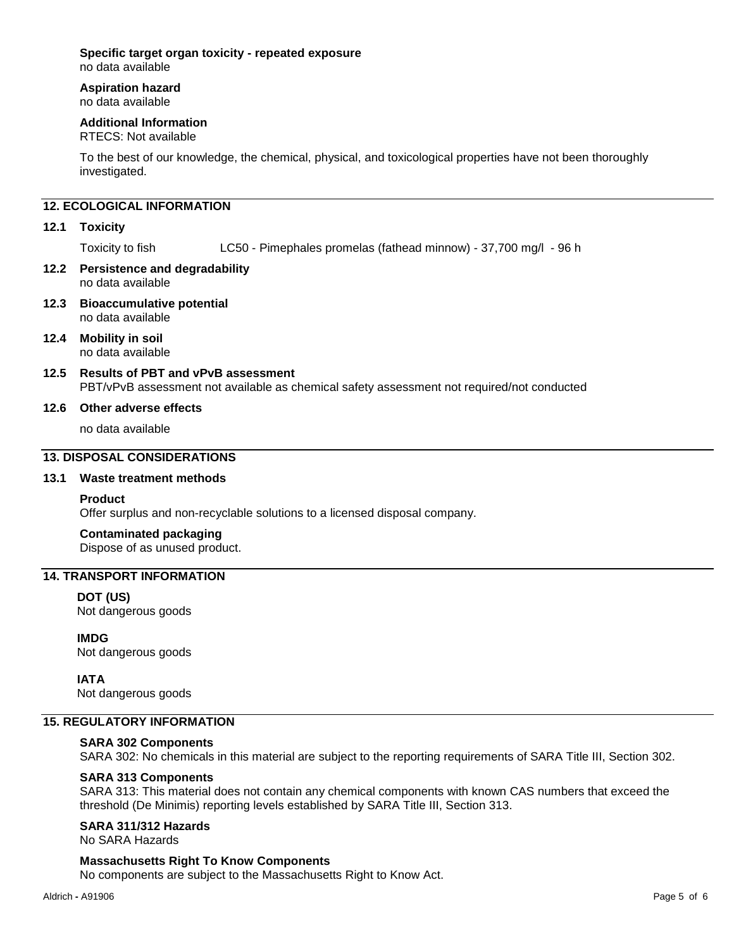## **Specific target organ toxicity - repeated exposure**

no data available

# **Aspiration hazard**

no data available

## **Additional Information**

RTECS: Not available

To the best of our knowledge, the chemical, physical, and toxicological properties have not been thoroughly investigated.

# **12. ECOLOGICAL INFORMATION**

## **12.1 Toxicity**

Toxicity to fish LC50 - Pimephales promelas (fathead minnow) - 37,700 mg/l - 96 h

#### **12.2 Persistence and degradability** no data available

- **12.3 Bioaccumulative potential** no data available
- **12.4 Mobility in soil** no data available
- **12.5 Results of PBT and vPvB assessment** PBT/vPvB assessment not available as chemical safety assessment not required/not conducted

## **12.6 Other adverse effects**

no data available

## **13. DISPOSAL CONSIDERATIONS**

## **13.1 Waste treatment methods**

## **Product**

Offer surplus and non-recyclable solutions to a licensed disposal company.

## **Contaminated packaging**

Dispose of as unused product.

## **14. TRANSPORT INFORMATION**

## **DOT (US)**

Not dangerous goods

**IMDG** Not dangerous goods

**IATA**

# Not dangerous goods

## **15. REGULATORY INFORMATION**

## **SARA 302 Components**

SARA 302: No chemicals in this material are subject to the reporting requirements of SARA Title III, Section 302.

## **SARA 313 Components**

SARA 313: This material does not contain any chemical components with known CAS numbers that exceed the threshold (De Minimis) reporting levels established by SARA Title III, Section 313.

## **SARA 311/312 Hazards**

No SARA Hazards

## **Massachusetts Right To Know Components**

No components are subject to the Massachusetts Right to Know Act.